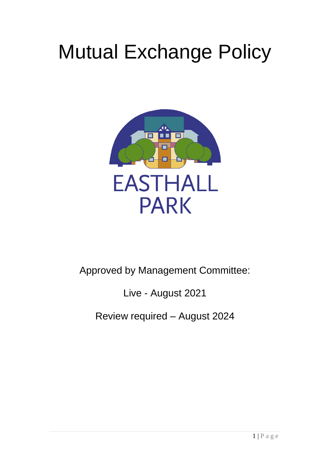# Mutual Exchange Policy



# Approved by Management Committee:

# Live - August 2021

# Review required – August 2024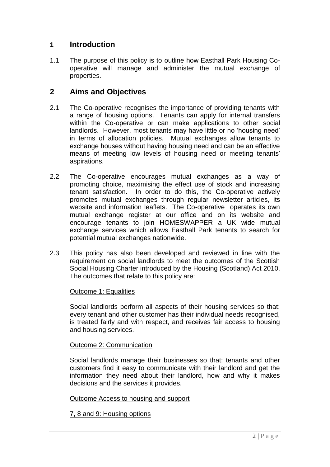#### **1 Introduction**

1.1 The purpose of this policy is to outline how Easthall Park Housing Cooperative will manage and administer the mutual exchange of properties.

## **2 Aims and Objectives**

- 2.1 The Co-operative recognises the importance of providing tenants with a range of housing options. Tenants can apply for internal transfers within the Co-operative or can make applications to other social landlords. However, most tenants may have little or no 'housing need' in terms of allocation policies. Mutual exchanges allow tenants to exchange houses without having housing need and can be an effective means of meeting low levels of housing need or meeting tenants' aspirations.
- 2.2 The Co-operative encourages mutual exchanges as a way of promoting choice, maximising the effect use of stock and increasing tenant satisfaction. In order to do this, the Co-operative actively promotes mutual exchanges through regular newsletter articles, its website and information leaflets. The Co-operative operates its own mutual exchange register at our office and on its website and encourage tenants to join HOMESWAPPER a UK wide mutual exchange services which allows Easthall Park tenants to search for potential mutual exchanges nationwide.
- 2.3 This policy has also been developed and reviewed in line with the requirement on social landlords to meet the outcomes of the Scottish Social Housing Charter introduced by the Housing (Scotland) Act 2010. The outcomes that relate to this policy are:

#### Outcome 1: Equalities

Social landlords perform all aspects of their housing services so that: every tenant and other customer has their individual needs recognised, is treated fairly and with respect, and receives fair access to housing and housing services.

#### Outcome 2: Communication

Social landlords manage their businesses so that: tenants and other customers find it easy to communicate with their landlord and get the information they need about their landlord, how and why it makes decisions and the services it provides.

#### Outcome Access to housing and support

#### 7, 8 and 9: Housing options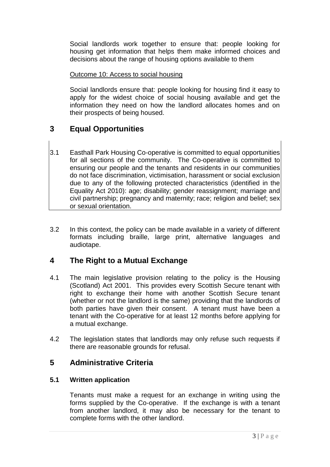Social landlords work together to ensure that: people looking for housing get information that helps them make informed choices and decisions about the range of housing options available to them

#### Outcome 10: Access to social housing

Social landlords ensure that: people looking for housing find it easy to apply for the widest choice of social housing available and get the information they need on how the landlord allocates homes and on their prospects of being housed.

# **3 Equal Opportunities**

- 3.1 Easthall Park Housing Co-operative is committed to equal opportunities for all sections of the community. The Co-operative is committed to ensuring our people and the tenants and residents in our communities do not face discrimination, victimisation, harassment or social exclusion due to any of the following protected characteristics (identified in the Equality Act 2010): age; disability; gender reassignment; marriage and civil partnership; pregnancy and maternity; race; religion and belief; sex or sexual orientation.
- 3.2 In this context, the policy can be made available in a variety of different formats including braille, large print, alternative languages and audiotape.

# **4 The Right to a Mutual Exchange**

- 4.1 The main legislative provision relating to the policy is the Housing (Scotland) Act 2001. This provides every Scottish Secure tenant with right to exchange their home with another Scottish Secure tenant (whether or not the landlord is the same) providing that the landlords of both parties have given their consent. A tenant must have been a tenant with the Co-operative for at least 12 months before applying for a mutual exchange.
- 4.2 The legislation states that landlords may only refuse such requests if there are reasonable grounds for refusal.

# **5 Administrative Criteria**

#### **5.1 Written application**

Tenants must make a request for an exchange in writing using the forms supplied by the Co-operative. If the exchange is with a tenant from another landlord, it may also be necessary for the tenant to complete forms with the other landlord.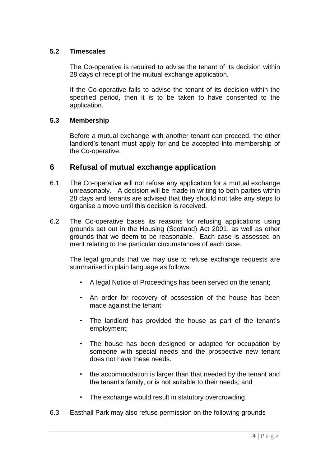#### **5.2 Timescales**

The Co-operative is required to advise the tenant of its decision within 28 days of receipt of the mutual exchange application.

If the Co-operative fails to advise the tenant of its decision within the specified period, then it is to be taken to have consented to the application.

#### **5.3 Membership**

Before a mutual exchange with another tenant can proceed, the other landlord's tenant must apply for and be accepted into membership of the Co-operative.

#### **6 Refusal of mutual exchange application**

- 6.1 The Co-operative will not refuse any application for a mutual exchange unreasonably. A decision will be made in writing to both parties within 28 days and tenants are advised that they should not take any steps to organise a move until this decision is received.
- 6.2 The Co-operative bases its reasons for refusing applications using grounds set out in the Housing (Scotland) Act 2001, as well as other grounds that we deem to be reasonable. Each case is assessed on merit relating to the particular circumstances of each case.

The legal grounds that we may use to refuse exchange requests are summarised in plain language as follows:

- A legal Notice of Proceedings has been served on the tenant;
- An order for recovery of possession of the house has been made against the tenant;
- The landlord has provided the house as part of the tenant's employment;
- The house has been designed or adapted for occupation by someone with special needs and the prospective new tenant does not have these needs.
- the accommodation is larger than that needed by the tenant and the tenant's family, or is not suitable to their needs; and
- The exchange would result in statutory overcrowding
- 6.3 Easthall Park may also refuse permission on the following grounds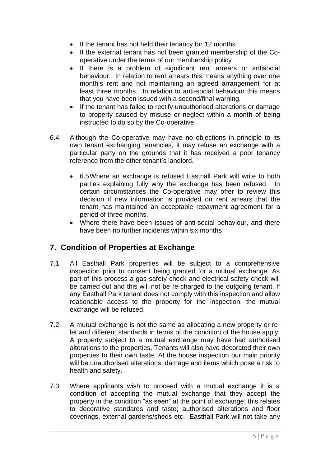- If the tenant has not held their tenancy for 12 months
- If the external tenant has not been granted membership of the Cooperative under the terms of our membership policy
- If there is a problem of significant rent arrears or antisocial behaviour. In relation to rent arrears this means anything over one month's rent and not maintaining an agreed arrangement for at least three months. In relation to anti-social behaviour this means that you have been issued with a second/final warning.
- If the tenant has failed to rectify unauthorised alterations or damage to property caused by misuse or neglect within a month of being instructed to do so by the Co-operative.
- 6.4 Although the Co-operative may have no objections in principle to its own tenant exchanging tenancies, it may refuse an exchange with a particular party on the grounds that it has received a poor tenancy reference from the other tenant's landlord.
	- 6.5Where an exchange is refused Easthall Park will write to both parties explaining fully why the exchange has been refused. In certain circumstances the Co-operative may offer to review this decision if new information is provided on rent arrears that the tenant has maintained an acceptable repayment agreement for a period of three months.
	- Where there have been issues of anti-social behaviour, and there have been no further incidents within six months

# **7. Condition of Properties at Exchange**

- 7.1 All Easthall Park properties will be subject to a comprehensive inspection prior to consent being granted for a mutual exchange. As part of this process a gas safety check and electrical safety check will be carried out and this will not be re-charged to the outgoing tenant. If any Easthall Park tenant does not comply with this inspection and allow reasonable access to the property for the inspection, the mutual exchange will be refused.
- 7.2 A mutual exchange is not the same as allocating a new property or relet and different standards in terms of the condition of the house apply. A property subject to a mutual exchange may have had authorised alterations to the properties. Tenants will also have decorated their own properties to their own taste. At the house inspection our main priority will be unauthorised alterations, damage and items which pose a risk to health and safety**.**
- 7.3 Where applicants wish to proceed with a mutual exchange it is a condition of accepting the mutual exchange that they accept the property in the condition "as seen" at the point of exchange; this relates to decorative standards and taste; authorised alterations and floor coverings, external gardens/sheds etc. Easthall Park will not take any